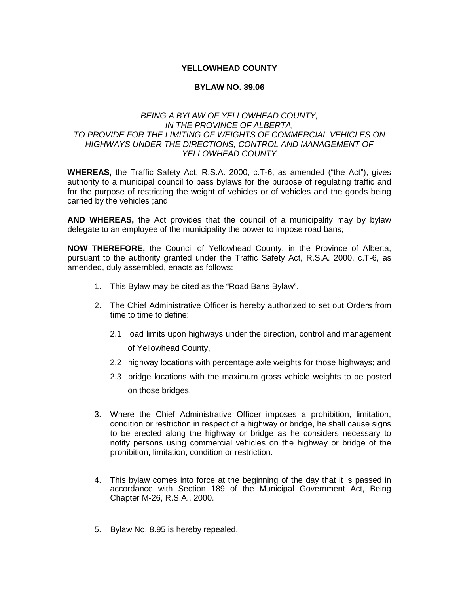## **YELLOWHEAD COUNTY**

## **BYLAW NO. 39.06**

## *BEING A BYLAW OF YELLOWHEAD COUNTY, IN THE PROVINCE OF ALBERTA, TO PROVIDE FOR THE LIMITING OF WEIGHTS OF COMMERCIAL VEHICLES ON HIGHWAYS UNDER THE DIRECTIONS, CONTROL AND MANAGEMENT OF YELLOWHEAD COUNTY*

**WHEREAS,** the Traffic Safety Act, R.S.A. 2000, c.T-6, as amended ("the Act"), gives authority to a municipal council to pass bylaws for the purpose of regulating traffic and for the purpose of restricting the weight of vehicles or of vehicles and the goods being carried by the vehicles ;and

**AND WHEREAS,** the Act provides that the council of a municipality may by bylaw delegate to an employee of the municipality the power to impose road bans;

**NOW THEREFORE,** the Council of Yellowhead County, in the Province of Alberta, pursuant to the authority granted under the Traffic Safety Act, R.S.A. 2000, c.T-6, as amended, duly assembled, enacts as follows:

- 1. This Bylaw may be cited as the "Road Bans Bylaw".
- 2. The Chief Administrative Officer is hereby authorized to set out Orders from time to time to define:
	- 2.1 load limits upon highways under the direction, control and management of Yellowhead County,
	- 2.2 highway locations with percentage axle weights for those highways; and
	- 2.3 bridge locations with the maximum gross vehicle weights to be posted on those bridges.
- 3. Where the Chief Administrative Officer imposes a prohibition, limitation, condition or restriction in respect of a highway or bridge, he shall cause signs to be erected along the highway or bridge as he considers necessary to notify persons using commercial vehicles on the highway or bridge of the prohibition, limitation, condition or restriction.
- 4. This bylaw comes into force at the beginning of the day that it is passed in accordance with Section 189 of the Municipal Government Act, Being Chapter M-26, R.S.A., 2000.
- 5. Bylaw No. 8.95 is hereby repealed.